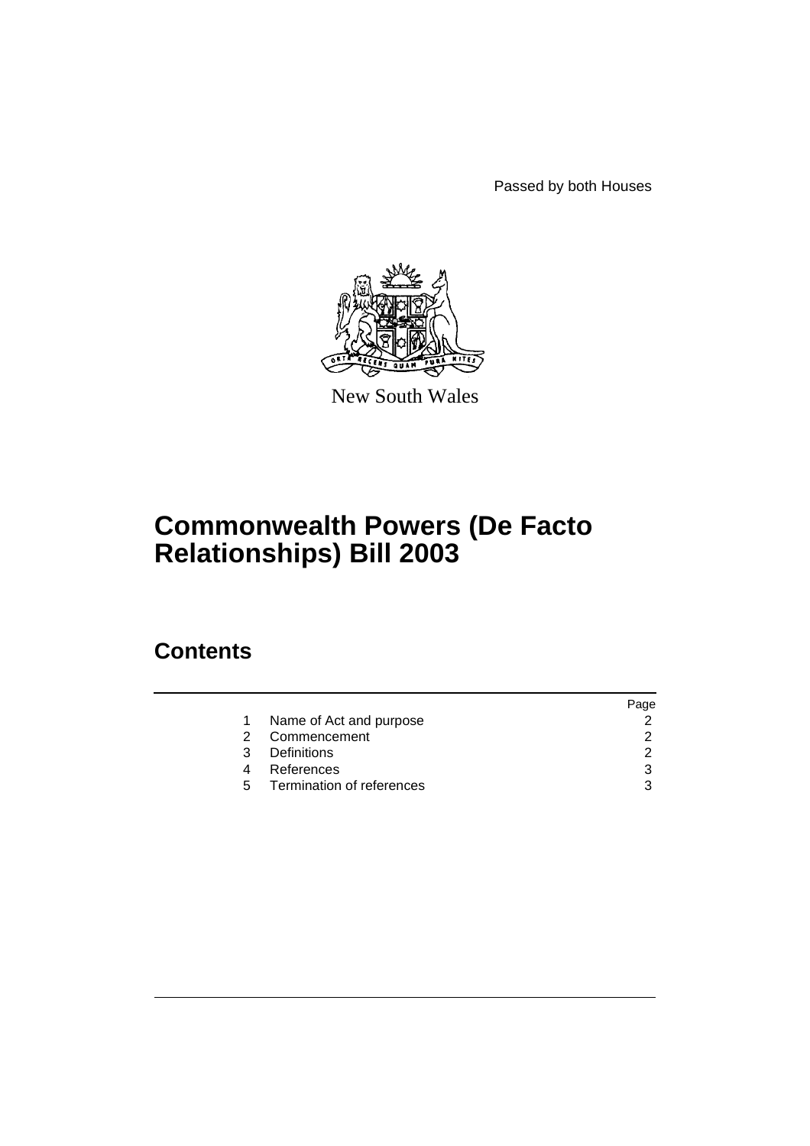Passed by both Houses



New South Wales

# **Commonwealth Powers (De Facto Relationships) Bill 2003**

### **Contents**

|    |                           | Page |
|----|---------------------------|------|
|    | Name of Act and purpose   |      |
| 2  | Commencement              |      |
| 3  | <b>Definitions</b>        |      |
|    | References                | 3    |
| 5. | Termination of references | 3    |
|    |                           |      |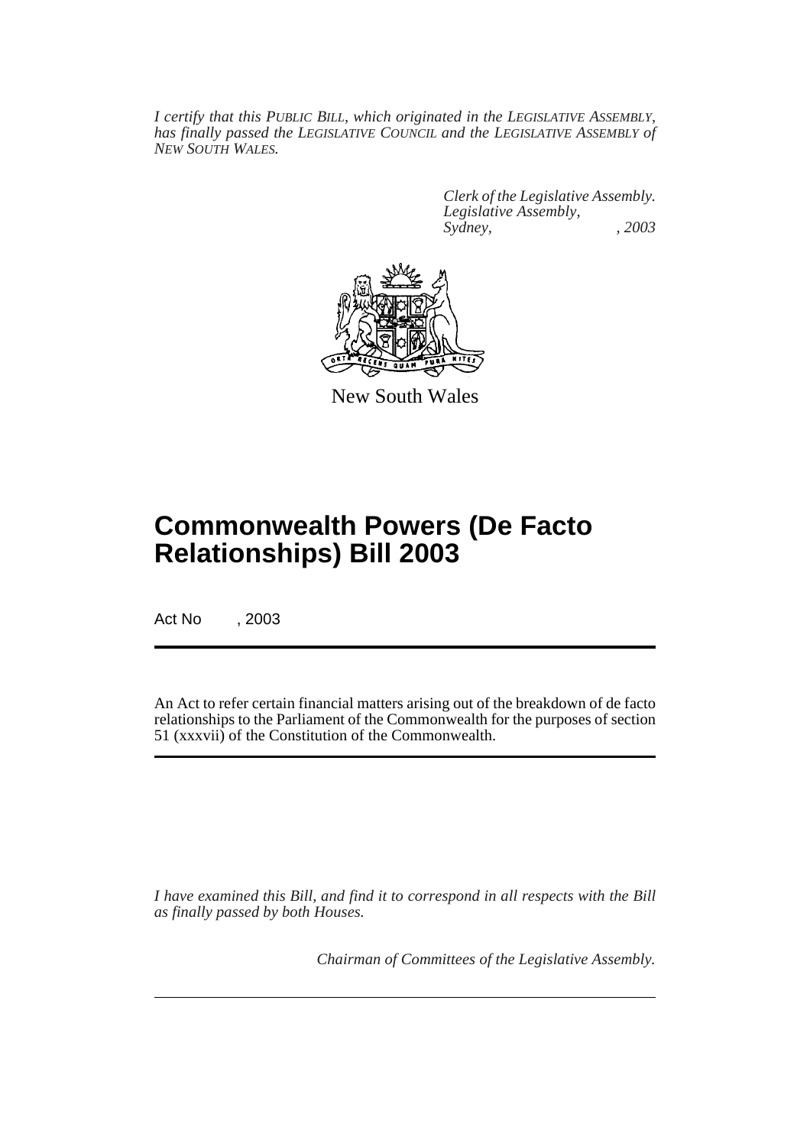*I certify that this PUBLIC BILL, which originated in the LEGISLATIVE ASSEMBLY, has finally passed the LEGISLATIVE COUNCIL and the LEGISLATIVE ASSEMBLY of NEW SOUTH WALES.*

> *Clerk of the Legislative Assembly. Legislative Assembly, Sydney, , 2003*



New South Wales

## **Commonwealth Powers (De Facto Relationships) Bill 2003**

Act No , 2003

An Act to refer certain financial matters arising out of the breakdown of de facto relationships to the Parliament of the Commonwealth for the purposes of section 51 (xxxvii) of the Constitution of the Commonwealth.

*I have examined this Bill, and find it to correspond in all respects with the Bill as finally passed by both Houses.*

*Chairman of Committees of the Legislative Assembly.*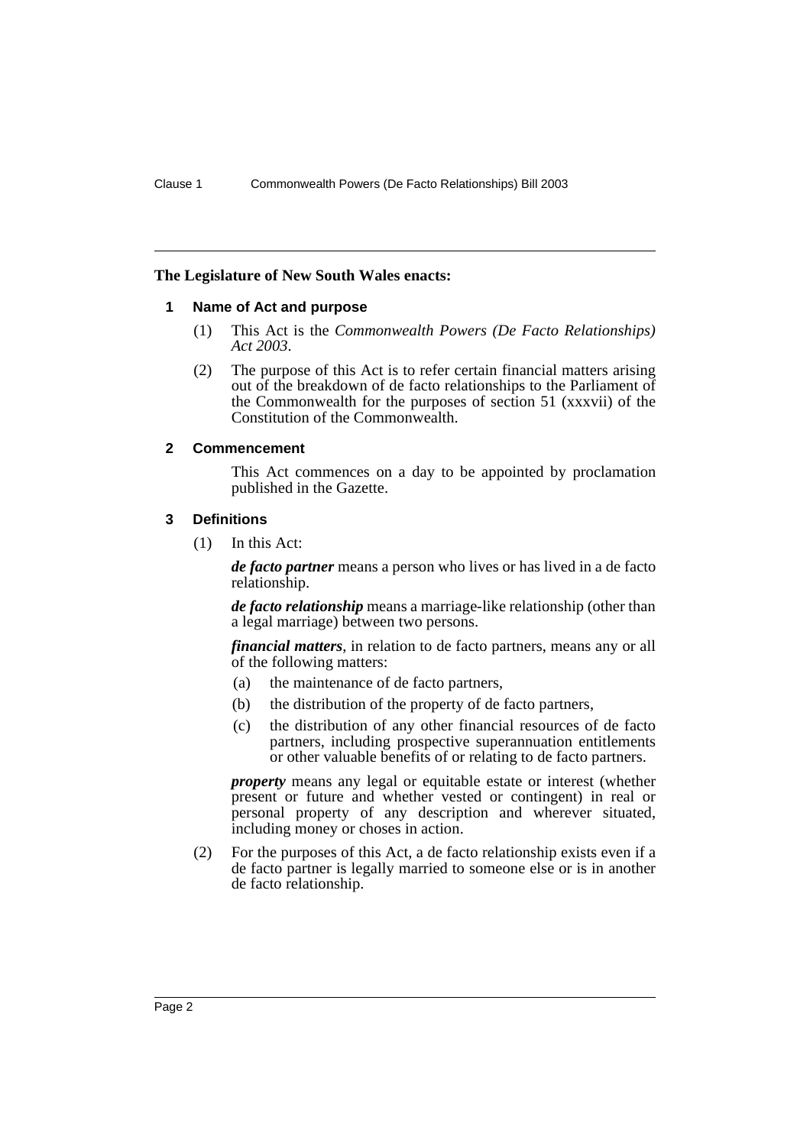#### **The Legislature of New South Wales enacts:**

#### **1 Name of Act and purpose**

- (1) This Act is the *Commonwealth Powers (De Facto Relationships) Act 2003*.
- (2) The purpose of this Act is to refer certain financial matters arising out of the breakdown of de facto relationships to the Parliament of the Commonwealth for the purposes of section 51 (xxxvii) of the Constitution of the Commonwealth.

#### **2 Commencement**

This Act commences on a day to be appointed by proclamation published in the Gazette.

#### **3 Definitions**

(1) In this Act:

*de facto partner* means a person who lives or has lived in a de facto relationship.

*de facto relationship* means a marriage-like relationship (other than a legal marriage) between two persons.

*financial matters*, in relation to de facto partners, means any or all of the following matters:

- (a) the maintenance of de facto partners,
- (b) the distribution of the property of de facto partners,
- (c) the distribution of any other financial resources of de facto partners, including prospective superannuation entitlements or other valuable benefits of or relating to de facto partners.

*property* means any legal or equitable estate or interest (whether present or future and whether vested or contingent) in real or personal property of any description and wherever situated, including money or choses in action.

(2) For the purposes of this Act, a de facto relationship exists even if a de facto partner is legally married to someone else or is in another de facto relationship.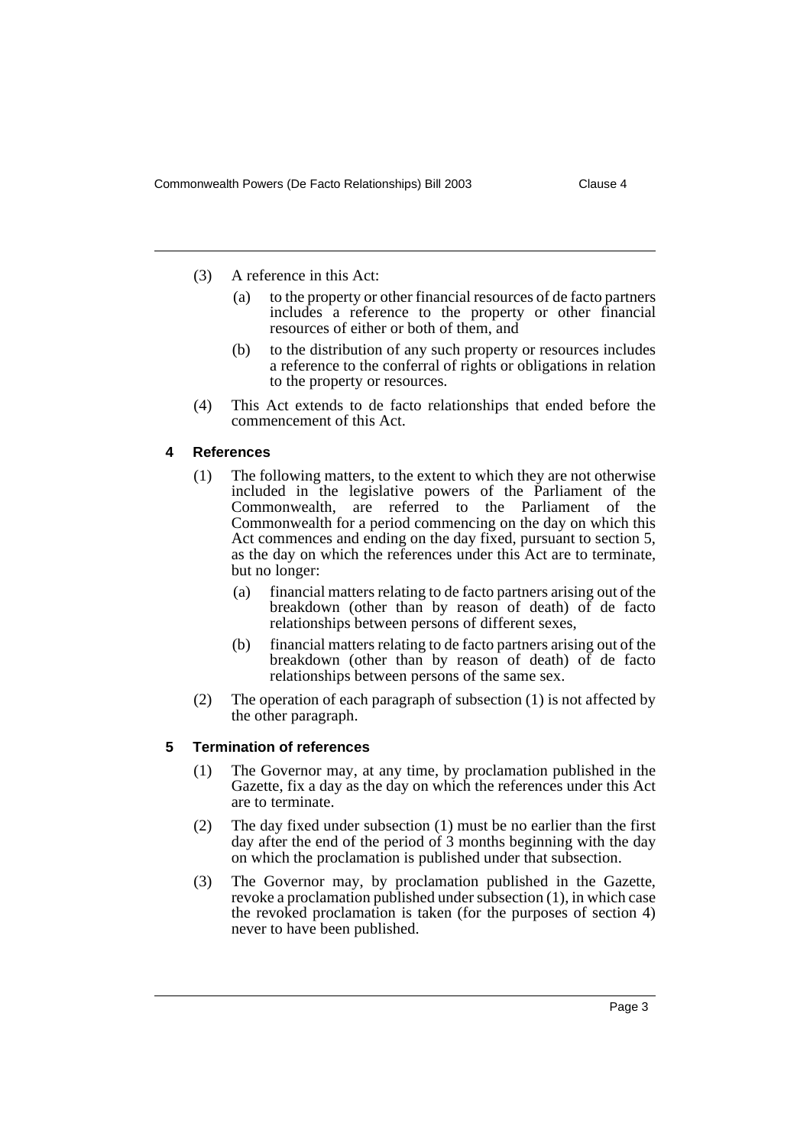- (3) A reference in this Act:
	- (a) to the property or other financial resources of de facto partners includes a reference to the property or other financial resources of either or both of them, and
	- (b) to the distribution of any such property or resources includes a reference to the conferral of rights or obligations in relation to the property or resources.
- (4) This Act extends to de facto relationships that ended before the commencement of this Act.

#### **4 References**

- (1) The following matters, to the extent to which they are not otherwise included in the legislative powers of the Parliament of the Commonwealth, are referred to the Parliament of the Commonwealth for a period commencing on the day on which this Act commences and ending on the day fixed, pursuant to section 5, as the day on which the references under this Act are to terminate, but no longer:
	- (a) financial matters relating to de facto partners arising out of the breakdown (other than by reason of death) of de facto relationships between persons of different sexes,
	- (b) financial matters relating to de facto partners arising out of the breakdown (other than by reason of death) of de facto relationships between persons of the same sex.
- (2) The operation of each paragraph of subsection (1) is not affected by the other paragraph.

#### **5 Termination of references**

- (1) The Governor may, at any time, by proclamation published in the Gazette, fix a day as the day on which the references under this Act are to terminate.
- (2) The day fixed under subsection (1) must be no earlier than the first day after the end of the period of 3 months beginning with the day on which the proclamation is published under that subsection.
- (3) The Governor may, by proclamation published in the Gazette, revoke a proclamation published under subsection (1), in which case the revoked proclamation is taken (for the purposes of section 4) never to have been published.